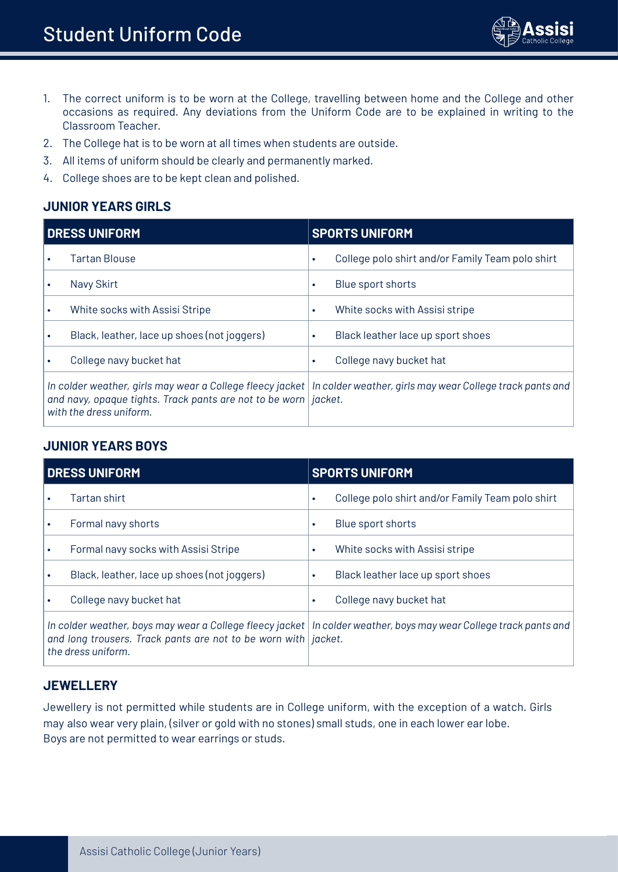

- 1. The correct uniform is to be worn at the College, travelling between home and the College and other occasions as required. Any deviations from the Uniform Code are to be explained in writing to the Classroom Teacher.
- 2. The College hat is to be worn at all times when students are outside.
- 3. All items of uniform should be clearly and permanently marked.
- 4. College shoes are to be kept clean and polished.

# **JUNIOR YEARS GIRLS**

| <b>DRESS UNIFORM</b>                                                                         | <b>SPORTS UNIFORM</b>                                                                                                 |  |  |
|----------------------------------------------------------------------------------------------|-----------------------------------------------------------------------------------------------------------------------|--|--|
| <b>Tartan Blouse</b>                                                                         | College polo shirt and/or Family Team polo shirt                                                                      |  |  |
| Navy Skirt                                                                                   | Blue sport shorts                                                                                                     |  |  |
| White socks with Assisi Stripe                                                               | White socks with Assisi stripe<br>٠                                                                                   |  |  |
| Black, leather, lace up shoes (not joggers)                                                  | Black leather lace up sport shoes                                                                                     |  |  |
| College navy bucket hat                                                                      | College navy bucket hat                                                                                               |  |  |
| and navy, opaque tights. Track pants are not to be worn   jacket.<br>with the dress uniform. | In colder weather, girls may wear a College fleecy jacket   In colder weather, girls may wear College track pants and |  |  |

## **JUNIOR YEARS BOYS**

| DRESS UNIFORM |                                                                                                                                                                                                                     | <b>SPORTS UNIFORM</b> |                                                  |  |
|---------------|---------------------------------------------------------------------------------------------------------------------------------------------------------------------------------------------------------------------|-----------------------|--------------------------------------------------|--|
|               | Tartan shirt                                                                                                                                                                                                        | ٠                     | College polo shirt and/or Family Team polo shirt |  |
|               | Formal navy shorts                                                                                                                                                                                                  | ٠                     | Blue sport shorts                                |  |
|               | Formal navy socks with Assisi Stripe                                                                                                                                                                                | ٠                     | White socks with Assisi stripe                   |  |
|               | Black, leather, lace up shoes (not joggers)                                                                                                                                                                         |                       | Black leather lace up sport shoes                |  |
|               | College navy bucket hat                                                                                                                                                                                             |                       | College navy bucket hat                          |  |
|               | In colder weather, boys may wear a College fleecy jacket   In colder weather, boys may wear College track pants and<br>and long trousers. Track pants are not to be worn with <i>jacket</i> .<br>the dress uniform. |                       |                                                  |  |

#### **JEWELLERY**

Jewellery is not permitted while students are in College uniform, with the exception of a watch. Girls may also wear very plain, (silver or gold with no stones) small studs, one in each lower ear lobe. Boys are not permitted to wear earrings or studs.